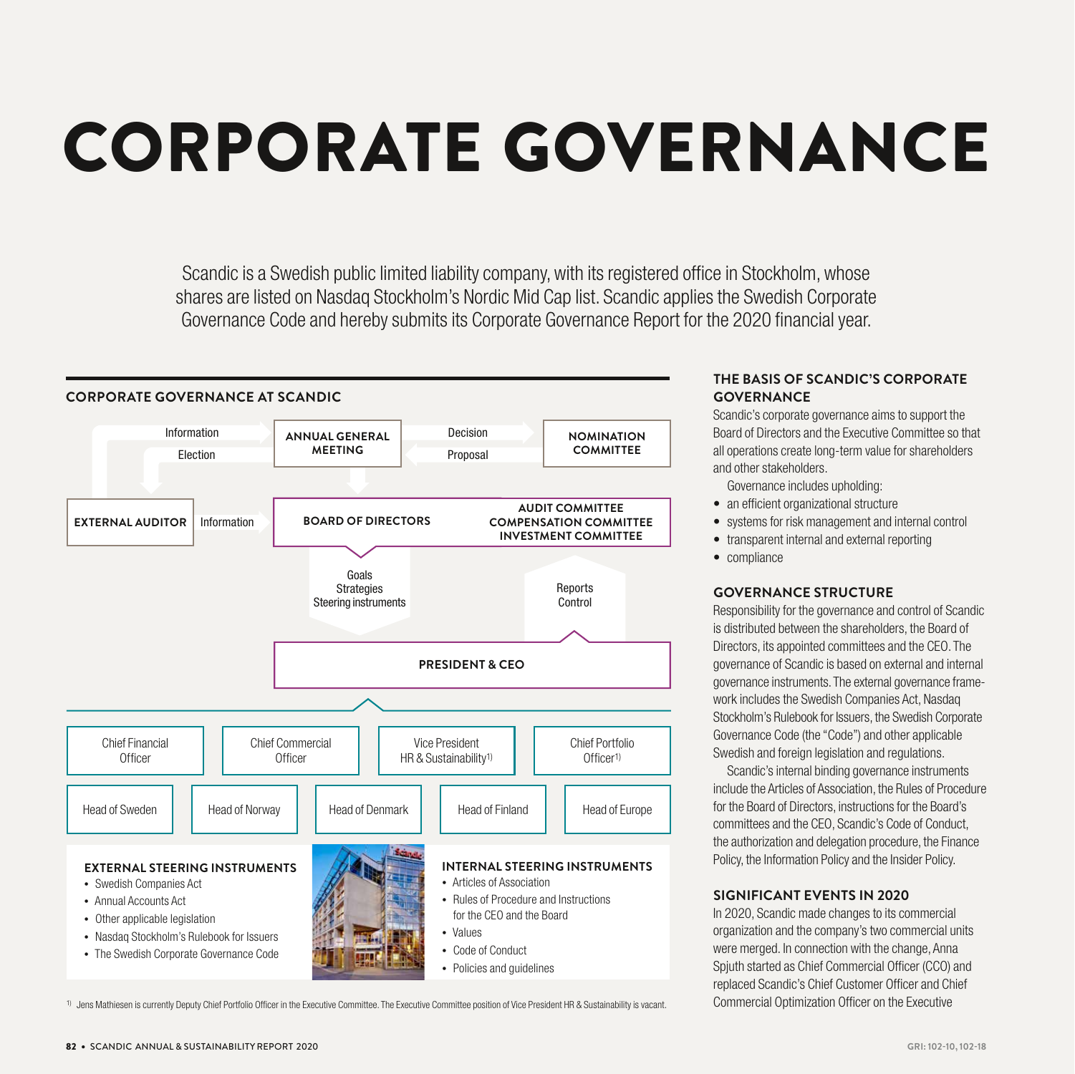# CORPORATE GOVERNANCE

Scandic is a Swedish public limited liability company, with its registered office in Stockholm, whose shares are listed on Nasdaq Stockholm's Nordic Mid Cap list. Scandic applies the Swedish Corporate Governance Code and hereby submits its Corporate Governance Report for the 2020 financial year.



<sup>&</sup>lt;sup>1)</sup> Jens Mathiesen is currently Deputy Chief Portfolio Officer in the Executive Committee. The Executive Committee position of Vice President HR & Sustainability is vacant.

# **THE BASIS OF SCANDIC'S CORPORATE GOVERNANCE**

Scandic's corporate governance aims to support the Board of Directors and the Executive Committee so that all operations create long-term value for shareholders and other stakeholders.

Governance includes upholding:

- an efficient organizational structure
- systems for risk management and internal control
- transparent internal and external reporting
- compliance

#### **GOVERNANCE STRUCTURE**

Responsibility for the governance and control of Scandic is distributed between the shareholders, the Board of Directors, its appointed committees and the CEO. The governance of Scandic is based on external and internal governance instruments. The external governance framework includes the Swedish Companies Act, Nasdaq Stockholm's Rulebook for Issuers, the Swedish Corporate Governance Code (the "Code") and other applicable Swedish and foreign legislation and regulations.

Scandic's internal binding governance instruments include the Articles of Association, the Rules of Procedure for the Board of Directors, instructions for the Board's committees and the CEO, Scandic's Code of Conduct, the authorization and delegation procedure, the Finance Policy, the Information Policy and the Insider Policy.

#### **SIGNIFICANT EVENTS IN 2020**

In 2020, Scandic made changes to its commercial organization and the company's two commercial units were merged. In connection with the change, Anna Spjuth started as Chief Commercial Officer (CCO) and replaced Scandic's Chief Customer Officer and Chief Commercial Optimization Officer on the Executive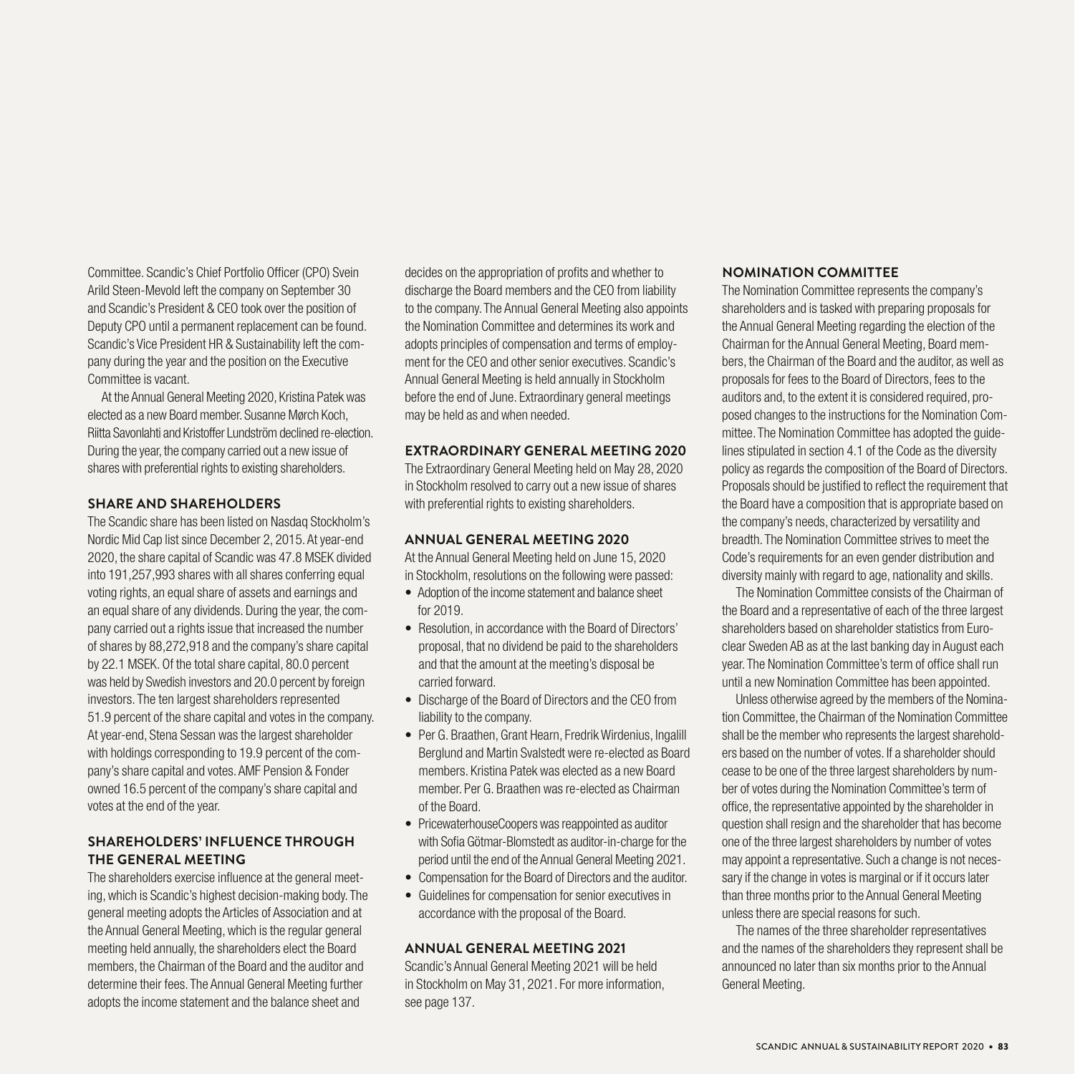Committee. Scandic's Chief Portfolio Officer (CPO) Svein Arild Steen-Mevold left the company on September 30 and Scandic's President & CEO took over the position of Deputy CPO until a permanent replacement can be found. Scandic's Vice President HR & Sustainability left the company during the year and the position on the Executive Committee is vacant.

At the Annual General Meeting 2020, Kristina Patek was elected as a new Board member. Susanne Mørch Koch, Riitta Savonlahti and Kristoffer Lundström declined re-election. During the year, the company carried out a new issue of shares with preferential rights to existing shareholders.

#### **SHARE AND SHAREHOLDERS**

The Scandic share has been listed on Nasdaq Stockholm's Nordic Mid Cap list since December 2, 2015. At year-end 2020, the share capital of Scandic was 47.8 MSEK divided into 191,257,993 shares with all shares conferring equal voting rights, an equal share of assets and earnings and an equal share of any dividends. During the year, the company carried out a rights issue that increased the number of shares by 88,272,918 and the company's share capital by 22.1 MSEK. Of the total share capital, 80.0 percent was held by Swedish investors and 20.0 percent by foreign investors. The ten largest shareholders represented 51.9 percent of the share capital and votes in the company. At year-end, Stena Sessan was the largest shareholder with holdings corresponding to 19.9 percent of the company's share capital and votes. AMF Pension & Fonder owned 16.5 percent of the company's share capital and votes at the end of the year.

# **SHAREHOLDERS' INFLUENCE THROUGH THE GENERAL MEETING**

The shareholders exercise influence at the general meeting, which is Scandic's highest decision-making body. The general meeting adopts the Articles of Association and at the Annual General Meeting, which is the regular general meeting held annually, the shareholders elect the Board members, the Chairman of the Board and the auditor and determine their fees. The Annual General Meeting further adopts the income statement and the balance sheet and

decides on the appropriation of profits and whether to discharge the Board members and the CEO from liability to the company. The Annual General Meeting also appoints the Nomination Committee and determines its work and adopts principles of compensation and terms of employment for the CEO and other senior executives. Scandic's Annual General Meeting is held annually in Stockholm before the end of June. Extraordinary general meetings may be held as and when needed.

# **EXTRAORDINARY GENERAL MEETING 2020**

The Extraordinary General Meeting held on May 28, 2020 in Stockholm resolved to carry out a new issue of shares with preferential rights to existing shareholders.

# **ANNUAL GENERAL MEETING 2020**

At the Annual General Meeting held on June 15, 2020 in Stockholm, resolutions on the following were passed:

- Adoption of the income statement and balance sheet for 2019.
- Resolution, in accordance with the Board of Directors' proposal, that no dividend be paid to the shareholders and that the amount at the meeting's disposal be carried forward.
- Discharge of the Board of Directors and the CEO from liability to the company.
- Per G. Braathen, Grant Hearn, Fredrik Wirdenius, Ingalill Berglund and Martin Svalstedt were re-elected as Board members. Kristina Patek was elected as a new Board member. Per G. Braathen was re-elected as Chairman of the Board.
- PricewaterhouseCoopers was reappointed as auditor with Sofia Götmar-Blomstedt as auditor-in-charge for the period until the end of the Annual General Meeting 2021.
- Compensation for the Board of Directors and the auditor.
- Guidelines for compensation for senior executives in accordance with the proposal of the Board.

#### **ANNUAL GENERAL MEETING 2021**

Scandic's Annual General Meeting 2021 will be held in Stockholm on May 31, 2021. For more information, see page 137.

# **NOMINATION COMMITTEE**

The Nomination Committee represents the company's shareholders and is tasked with preparing proposals for the Annual General Meeting regarding the election of the Chairman for the Annual General Meeting, Board members, the Chairman of the Board and the auditor, as well as proposals for fees to the Board of Directors, fees to the auditors and, to the extent it is considered required, proposed changes to the instructions for the Nomination Committee. The Nomination Committee has adopted the guidelines stipulated in section 4.1 of the Code as the diversity policy as regards the composition of the Board of Directors. Proposals should be justified to reflect the requirement that the Board have a composition that is appropriate based on the company's needs, characterized by versatility and breadth. The Nomination Committee strives to meet the Code's requirements for an even gender distribution and diversity mainly with regard to age, nationality and skills.

The Nomination Committee consists of the Chairman of the Board and a representative of each of the three largest shareholders based on shareholder statistics from Euroclear Sweden AB as at the last banking day in August each year. The Nomination Committee's term of office shall run until a new Nomination Committee has been appointed.

Unless otherwise agreed by the members of the Nomination Committee, the Chairman of the Nomination Committee shall be the member who represents the largest shareholders based on the number of votes. If a shareholder should cease to be one of the three largest shareholders by number of votes during the Nomination Committee's term of office, the representative appointed by the shareholder in question shall resign and the shareholder that has become one of the three largest shareholders by number of votes may appoint a representative. Such a change is not necessary if the change in votes is marginal or if it occurs later than three months prior to the Annual General Meeting unless there are special reasons for such.

The names of the three shareholder representatives and the names of the shareholders they represent shall be announced no later than six months prior to the Annual General Meeting.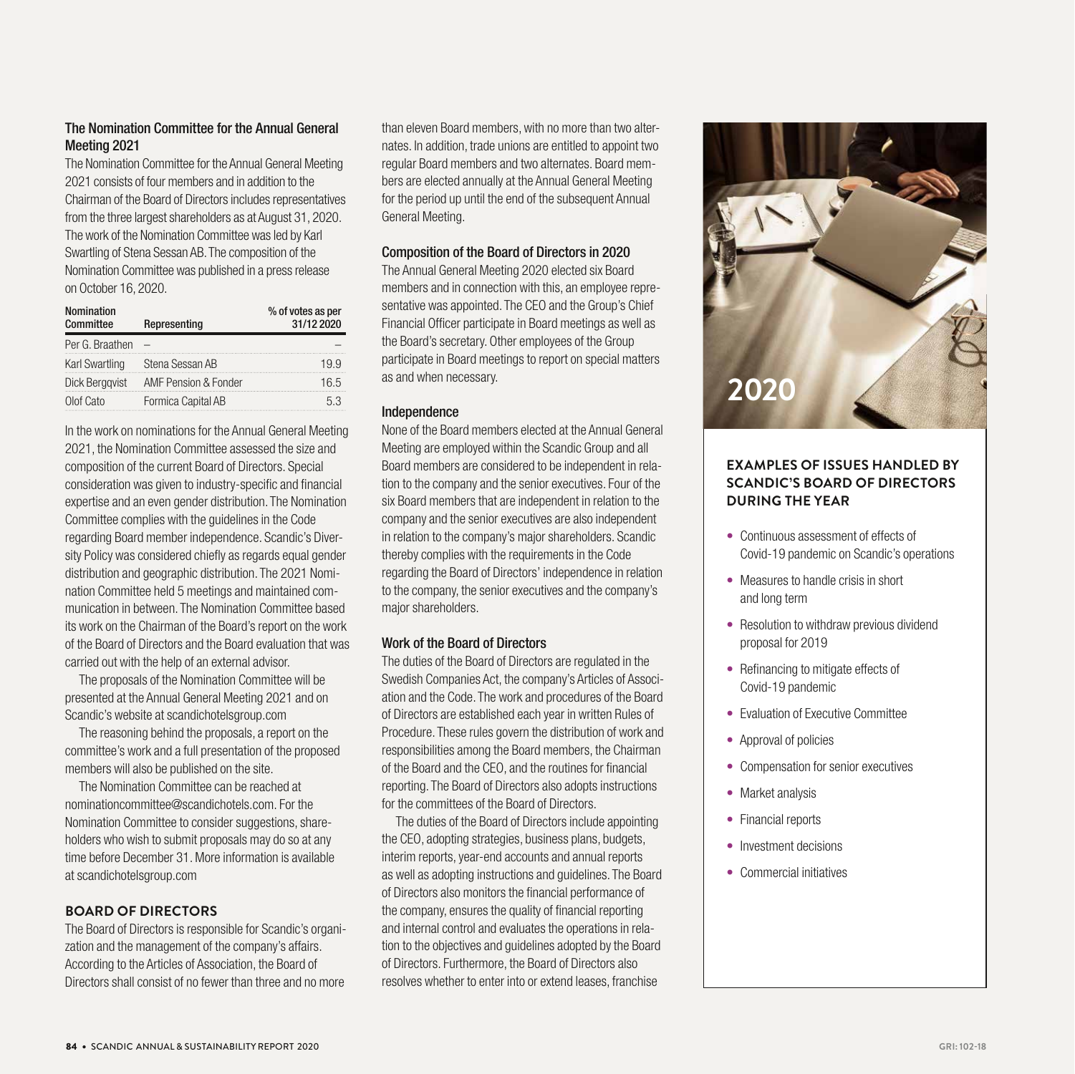# The Nomination Committee for the Annual General Meeting 2021

The Nomination Committee for the Annual General Meeting 2021 consists of four members and in addition to the Chairman of the Board of Directors includes representatives from the three largest shareholders as at August 31, 2020. The work of the Nomination Committee was led by Karl Swartling of Stena Sessan AB. The composition of the Nomination Committee was published in a press release on October 16, 2020.

| <b>Nomination</b><br>Committee | Representing         | % of votes as per<br>31/12 2020 |
|--------------------------------|----------------------|---------------------------------|
| Per G. Braathen                |                      |                                 |
| Karl Swartling                 | Stena Sessan AB      |                                 |
| Dick Berggvist                 | AMF Pension & Fonder | 16.5                            |
| Olof Cato                      | Formica Capital AB   | 5.3                             |

In the work on nominations for the Annual General Meeting 2021, the Nomination Committee assessed the size and composition of the current Board of Directors. Special consideration was given to industry-specific and financial expertise and an even gender distribution. The Nomination Committee complies with the guidelines in the Code regarding Board member independence. Scandic's Diversity Policy was considered chiefly as regards equal gender distribution and geographic distribution. The 2021 Nomination Committee held 5 meetings and maintained communication in between. The Nomination Committee based its work on the Chairman of the Board's report on the work of the Board of Directors and the Board evaluation that was carried out with the help of an external advisor.

The proposals of the Nomination Committee will be presented at the Annual General Meeting 2021 and on Scandic's website at scandichotelsgroup.com

The reasoning behind the proposals, a report on the committee's work and a full presentation of the proposed members will also be published on the site.

The Nomination Committee can be reached at nominationcommittee@scandichotels.com. For the Nomination Committee to consider suggestions, shareholders who wish to submit proposals may do so at any time before December 31. More information is available at scandichotelsgroup.com

# **BOARD OF DIRECTORS**

The Board of Directors is responsible for Scandic's organization and the management of the company's affairs. According to the Articles of Association, the Board of Directors shall consist of no fewer than three and no more

than eleven Board members, with no more than two alternates. In addition, trade unions are entitled to appoint two regular Board members and two alternates. Board members are elected annually at the Annual General Meeting for the period up until the end of the subsequent Annual General Meeting.

# Composition of the Board of Directors in 2020

The Annual General Meeting 2020 elected six Board members and in connection with this, an employee representative was appointed. The CEO and the Group's Chief Financial Officer participate in Board meetings as well as the Board's secretary. Other employees of the Group participate in Board meetings to report on special matters as and when necessary.

#### Independence

None of the Board members elected at the Annual General Meeting are employed within the Scandic Group and all Board members are considered to be independent in relation to the company and the senior executives. Four of the six Board members that are independent in relation to the company and the senior executives are also independent in relation to the company's major shareholders. Scandic thereby complies with the requirements in the Code regarding the Board of Directors' independence in relation to the company, the senior executives and the company's major shareholders.

# Work of the Board of Directors

The duties of the Board of Directors are regulated in the Swedish Companies Act, the company's Articles of Association and the Code. The work and procedures of the Board of Directors are established each year in written Rules of Procedure. These rules govern the distribution of work and responsibilities among the Board members, the Chairman of the Board and the CEO, and the routines for financial reporting. The Board of Directors also adopts instructions for the committees of the Board of Directors.

The duties of the Board of Directors include appointing the CEO, adopting strategies, business plans, budgets, interim reports, year-end accounts and annual reports as well as adopting instructions and guidelines. The Board of Directors also monitors the financial performance of the company, ensures the quality of financial reporting and internal control and evaluates the operations in relation to the objectives and guidelines adopted by the Board of Directors. Furthermore, the Board of Directors also resolves whether to enter into or extend leases, franchise



# **EXAMPLES OF ISSUES HANDLED BY SCANDIC'S BOARD OF DIRECTORS DURING THE YEAR**

- Continuous assessment of effects of Covid-19 pandemic on Scandic's operations
- Measures to handle crisis in short and long term
- Resolution to withdraw previous dividend proposal for 2019
- Refinancing to mitigate effects of Covid-19 pandemic
- Evaluation of Executive Committee
- Approval of policies
- Compensation for senior executives
- Market analysis
- Financial reports
- Investment decisions
- Commercial initiatives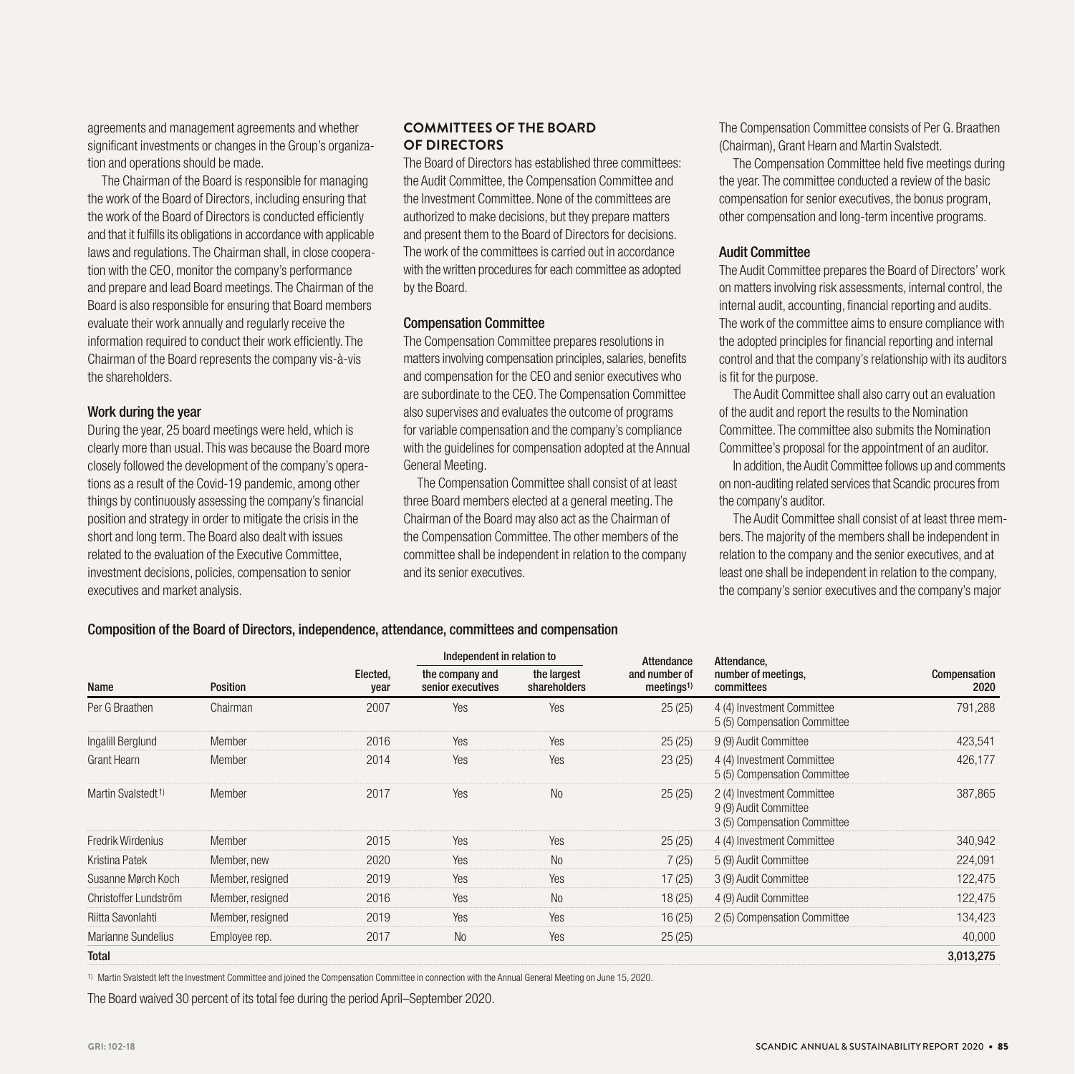agreements and management agreements and whether significant investments or changes in the Group's organization and operations should be made.

The Chairman of the Board is responsible for managing the work of the Board of Directors, including ensuring that the work of the Board of Directors is conducted efficiently and that it fulfills its obligations in accordance with applicable laws and regulations. The Chairman shall, in close cooperation with the CEO, monitor the company's performance and prepare and lead Board meetings. The Chairman of the Board is also responsible for ensuring that Board members evaluate their work annually and regularly receive the information required to conduct their work efficiently. The Chairman of the Board represents the company vis-à-vis the shareholders.

#### Work during the year

During the year, 25 board meetings were held, which is clearly more than usual. This was because the Board more closely followed the development of the company's operations as a result of the Covid-19 pandemic, among other things by continuously assessing the company's financial position and strategy in order to mitigate the crisis in the short and long term. The Board also dealt with issues related to the evaluation of the Executive Committee, investment decisions, policies, compensation to senior executives and market analysis.

# **COMMITTEES OF THE BOARD OF DIRECTORS**

The Board of Directors has established three committees: the Audit Committee, the Compensation Committee and the Investment Committee. None of the committees are authorized to make decisions, but they prepare matters and present them to the Board of Directors for decisions. The work of the committees is carried out in accordance with the written procedures for each committee as adopted by the Board.

#### Compensation Committee

The Compensation Committee prepares resolutions in matters involving compensation principles, salaries, benefits and compensation for the CEO and senior executives who are subordinate to the CEO. The Compensation Committee also supervises and evaluates the outcome of programs for variable compensation and the company's compliance with the guidelines for compensation adopted at the Annual General Meeting.

The Compensation Committee shall consist of at least three Board members elected at a general meeting. The Chairman of the Board may also act as the Chairman of the Compensation Committee. The other members of the committee shall be independent in relation to the company and its senior executives.

The Compensation Committee consists of Per G. Braathen (Chairman), Grant Hearn and Martin Svalstedt.

The Compensation Committee held five meetings during the year. The committee conducted a review of the basic compensation for senior executives, the bonus program, other compensation and long-term incentive programs.

#### Audit Committee

The Audit Committee prepares the Board of Directors' work on matters involving risk assessments, internal control, the internal audit, accounting, financial reporting and audits. The work of the committee aims to ensure compliance with the adopted principles for financial reporting and internal control and that the company's relationship with its auditors is fit for the purpose.

The Audit Committee shall also carry out an evaluation of the audit and report the results to the Nomination Committee. The committee also submits the Nomination Committee's proposal for the appointment of an auditor.

In addition, the Audit Committee follows up and comments on non-auditing related services that Scandic procures from the company's auditor.

The Audit Committee shall consist of at least three members. The majority of the members shall be independent in relation to the company and the senior executives, and at least one shall be independent in relation to the company, the company's senior executives and the company's major

#### Composition of the Board of Directors, independence, attendance, committees and compensation

|                                |                  |                  | Independent in relation to           |                             | Attendance                             | Attendance,                                                                         |                      |
|--------------------------------|------------------|------------------|--------------------------------------|-----------------------------|----------------------------------------|-------------------------------------------------------------------------------------|----------------------|
| Name                           | Position         | Elected,<br>year | the company and<br>senior executives | the largest<br>shareholders | and number of<br>meetings <sup>1</sup> | number of meetings,<br>committees                                                   | Compensation<br>2020 |
| Per G Braathen                 | Chairman         | 2007             | Yes                                  | Yes                         | 25(25)                                 | 4 (4) Investment Committee<br>5 (5) Compensation Committee                          | 791,288              |
| Ingalill Berglund              | Member           | 2016             | Yes                                  | Yes                         | 25(25)                                 | 9 (9) Audit Committee                                                               | 423,541              |
| Grant Hearn                    | Member           | 2014             | Yes                                  | Yes                         | 23(25)                                 | 4 (4) Investment Committee<br>5 (5) Compensation Committee                          | 426,177              |
| Martin Svalstedt <sup>1)</sup> | Member           | 2017             | Yes                                  | <b>No</b>                   | 25(25)                                 | 2 (4) Investment Committee<br>9 (9) Audit Committee<br>3 (5) Compensation Committee | 387,865              |
| Fredrik Wirdenius              | Member           | 2015             | Yes                                  | Yes                         | 25(25)                                 | 4 (4) Investment Committee                                                          | 340,942              |
| Kristina Patek                 | Member, new      | 2020             | Yes                                  | <b>No</b>                   | 7(25)                                  | 5 (9) Audit Committee                                                               | 224,091              |
| Susanne Mørch Koch             | Member, resigned | 2019             | Yes                                  | Yes                         | 17(25)                                 | 3 (9) Audit Committee                                                               | 122,475              |
| Christoffer Lundström          | Member, resigned | 2016             | Yes                                  | <b>No</b>                   | 18(25)                                 | 4 (9) Audit Committee                                                               | 122,475              |
| Riitta Savonlahti              | Member, resigned | 2019             | <b>Yes</b>                           | Yes                         | 16(25)                                 | 2 (5) Compensation Committee                                                        | 134,423              |
| Marianne Sundelius             | Employee rep.    | 2017             | <b>No</b>                            | Yes                         | 25(25)                                 |                                                                                     | 40,000               |
| <b>Total</b>                   |                  |                  |                                      |                             |                                        |                                                                                     | 3,013,275            |

1) Martin Svalstedt left the Investment Committee and joined the Compensation Committee in connection with the Annual General Meeting on June 15, 2020.

The Board waived 30 percent of its total fee during the period April–September 2020.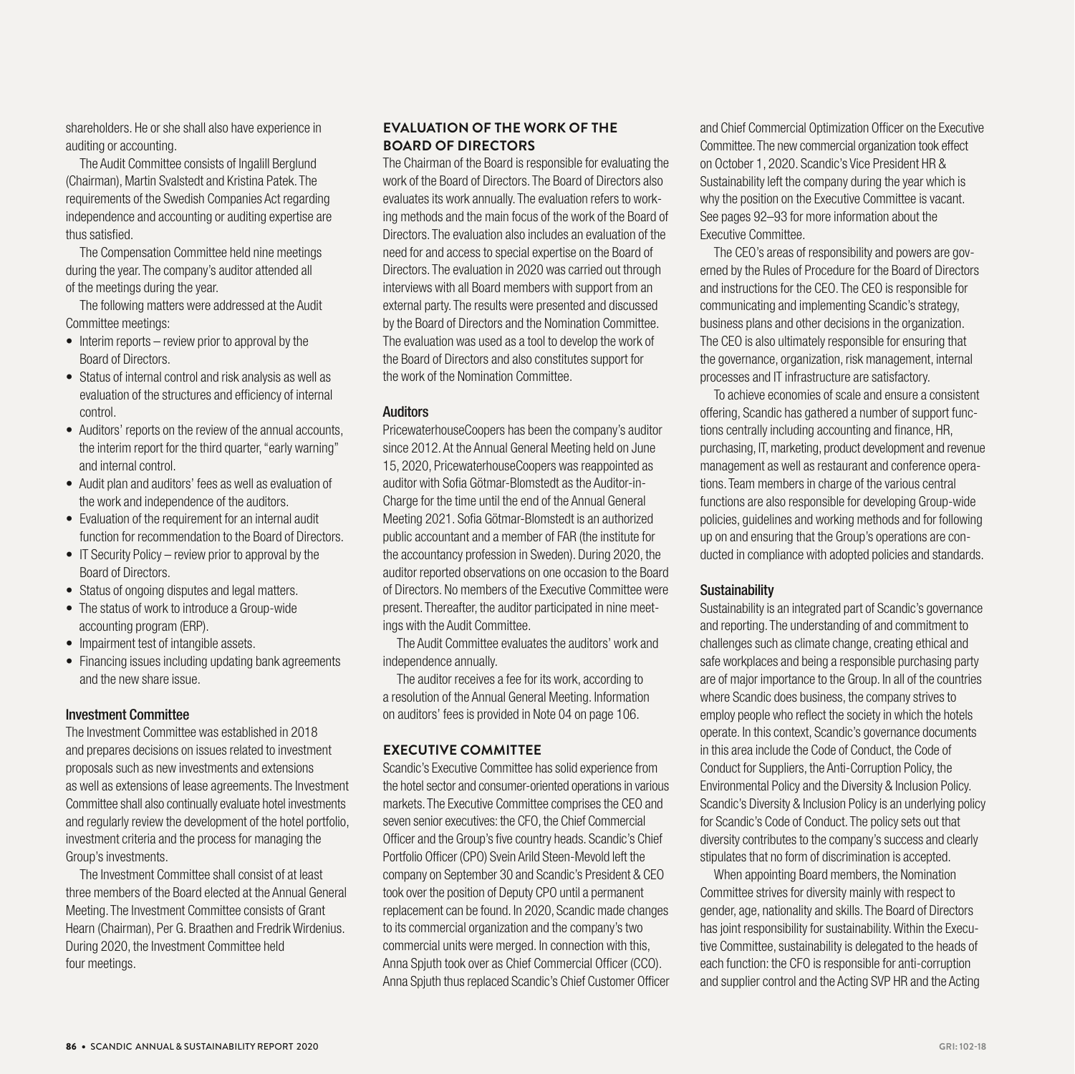shareholders. He or she shall also have experience in auditing or accounting.

The Audit Committee consists of Ingalill Berglund (Chairman), Martin Svalstedt and Kristina Patek. The requirements of the Swedish Companies Act regarding independence and accounting or auditing expertise are thus satisfied.

The Compensation Committee held nine meetings during the year. The company's auditor attended all of the meetings during the year.

The following matters were addressed at the Audit Committee meetings:

- Interim reports review prior to approval by the Board of Directors.
- Status of internal control and risk analysis as well as evaluation of the structures and efficiency of internal control.
- Auditors' reports on the review of the annual accounts, the interim report for the third quarter, "early warning" and internal control.
- Audit plan and auditors' fees as well as evaluation of the work and independence of the auditors.
- Evaluation of the requirement for an internal audit function for recommendation to the Board of Directors.
- IT Security Policy review prior to approval by the Board of Directors.
- Status of ongoing disputes and legal matters.
- The status of work to introduce a Group-wide accounting program (ERP).
- Impairment test of intangible assets.
- Financing issues including updating bank agreements and the new share issue.

#### Investment Committee

The Investment Committee was established in 2018 and prepares decisions on issues related to investment proposals such as new investments and extensions as well as extensions of lease agreements. The Investment Committee shall also continually evaluate hotel investments and regularly review the development of the hotel portfolio, investment criteria and the process for managing the Group's investments.

The Investment Committee shall consist of at least three members of the Board elected at the Annual General Meeting. The Investment Committee consists of Grant Hearn (Chairman), Per G. Braathen and Fredrik Wirdenius. During 2020, the Investment Committee held four meetings.

# **EVALUATION OF THE WORK OF THE BOARD OF DIRECTORS**

The Chairman of the Board is responsible for evaluating the work of the Board of Directors. The Board of Directors also evaluates its work annually. The evaluation refers to working methods and the main focus of the work of the Board of Directors. The evaluation also includes an evaluation of the need for and access to special expertise on the Board of Directors. The evaluation in 2020 was carried out through interviews with all Board members with support from an external party. The results were presented and discussed by the Board of Directors and the Nomination Committee. The evaluation was used as a tool to develop the work of the Board of Directors and also constitutes support for the work of the Nomination Committee.

#### Auditors

PricewaterhouseCoopers has been the company's auditor since 2012. At the Annual General Meeting held on June 15, 2020, PricewaterhouseCoopers was reappointed as auditor with Sofia Götmar-Blomstedt as the Auditor-in-Charge for the time until the end of the Annual General Meeting 2021. Sofia Götmar-Blomstedt is an authorized public accountant and a member of FAR (the institute for the accountancy profession in Sweden). During 2020, the auditor reported observations on one occasion to the Board of Directors. No members of the Executive Committee were present. Thereafter, the auditor participated in nine meetings with the Audit Committee.

The Audit Committee evaluates the auditors' work and independence annually.

The auditor receives a fee for its work, according to a resolution of the Annual General Meeting. Information on auditors' fees is provided in Note 04 on page 106.

#### **EXECUTIVE COMMITTEE**

Scandic's Executive Committee has solid experience from the hotel sector and consumer-oriented operations in various markets. The Executive Committee comprises the CEO and seven senior executives: the CFO, the Chief Commercial Officer and the Group's five country heads. Scandic's Chief Portfolio Officer (CPO) Svein Arild Steen-Mevold left the company on September 30 and Scandic's President & CEO took over the position of Deputy CPO until a permanent replacement can be found. In 2020, Scandic made changes to its commercial organization and the company's two commercial units were merged. In connection with this, Anna Spjuth took over as Chief Commercial Officer (CCO). Anna Spjuth thus replaced Scandic's Chief Customer Officer and Chief Commercial Optimization Officer on the Executive Committee. The new commercial organization took effect on October 1, 2020. Scandic's Vice President HR & Sustainability left the company during the year which is why the position on the Executive Committee is vacant. See pages 92–93 for more information about the Executive Committee.

The CEO's areas of responsibility and powers are governed by the Rules of Procedure for the Board of Directors and instructions for the CEO. The CEO is responsible for communicating and implementing Scandic's strategy, business plans and other decisions in the organization. The CEO is also ultimately responsible for ensuring that the governance, organization, risk management, internal processes and IT infrastructure are satisfactory.

To achieve economies of scale and ensure a consistent offering, Scandic has gathered a number of support functions centrally including accounting and finance, HR, purchasing, IT, marketing, product development and revenue management as well as restaurant and conference operations. Team members in charge of the various central functions are also responsible for developing Group-wide policies, guidelines and working methods and for following up on and ensuring that the Group's operations are conducted in compliance with adopted policies and standards.

#### **Sustainability**

Sustainability is an integrated part of Scandic's governance and reporting. The understanding of and commitment to challenges such as climate change, creating ethical and safe workplaces and being a responsible purchasing party are of major importance to the Group. In all of the countries where Scandic does business, the company strives to employ people who reflect the society in which the hotels operate. In this context, Scandic's governance documents in this area include the Code of Conduct, the Code of Conduct for Suppliers, the Anti-Corruption Policy, the Environmental Policy and the Diversity & Inclusion Policy. Scandic's Diversity & Inclusion Policy is an underlying policy for Scandic's Code of Conduct. The policy sets out that diversity contributes to the company's success and clearly stipulates that no form of discrimination is accepted.

When appointing Board members, the Nomination Committee strives for diversity mainly with respect to gender, age, nationality and skills. The Board of Directors has joint responsibility for sustainability. Within the Executive Committee, sustainability is delegated to the heads of each function: the CFO is responsible for anti-corruption and supplier control and the Acting SVP HR and the Acting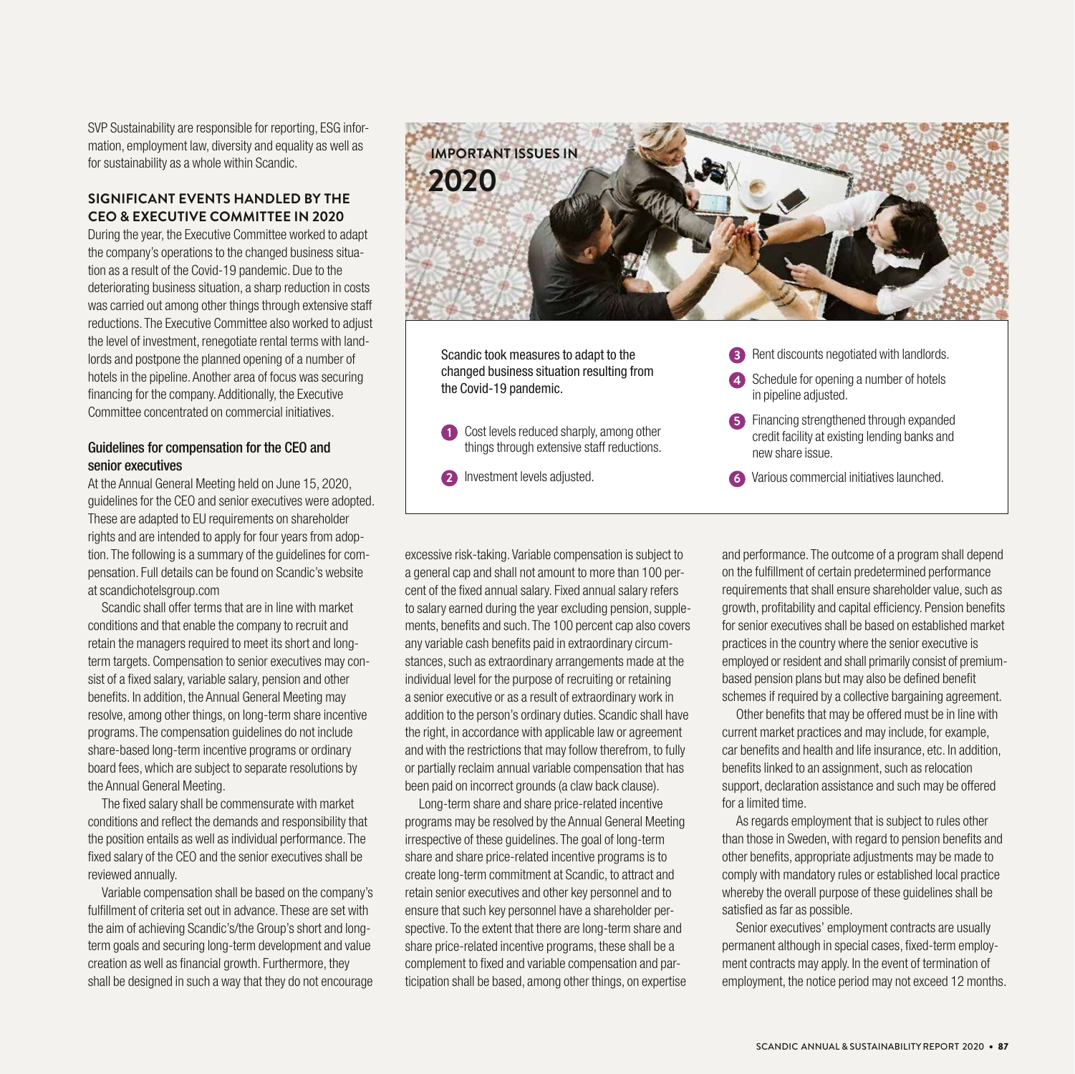SVP Sustainability are responsible for reporting, ESG information, employment law, diversity and equality as well as for sustainability as a whole within Scandic.

# **SIGNIFICANT EVENTS HANDLED BY THE CEO & EXECUTIVE COMMITTEE IN 2020**

During the year, the Executive Committee worked to adapt the company's operations to the changed business situation as a result of the Covid-19 pandemic. Due to the deteriorating business situation, a sharp reduction in costs was carried out among other things through extensive staff reductions. The Executive Committee also worked to adjust the level of investment, renegotiate rental terms with landlords and postpone the planned opening of a number of hotels in the pipeline. Another area of focus was securing financing for the company. Additionally, the Executive Committee concentrated on commercial initiatives.

# Guidelines for compensation for the CEO and senior executives

At the Annual General Meeting held on June 15, 2020, guidelines for the CEO and senior executives were adopted. These are adapted to EU requirements on shareholder rights and are intended to apply for four years from adoption. The following is a summary of the guidelines for compensation. Full details can be found on Scandic's website at scandichotelsgroup.com

Scandic shall offer terms that are in line with market conditions and that enable the company to recruit and retain the managers required to meet its short and longterm targets. Compensation to senior executives may consist of a fixed salary, variable salary, pension and other benefits. In addition, the Annual General Meeting may resolve, among other things, on long-term share incentive programs. The compensation guidelines do not include share-based long-term incentive programs or ordinary board fees, which are subject to separate resolutions by the Annual General Meeting.

The fixed salary shall be commensurate with market conditions and reflect the demands and responsibility that the position entails as well as individual performance. The fixed salary of the CEO and the senior executives shall be reviewed annually.

Variable compensation shall be based on the company's fulfillment of criteria set out in advance. These are set with the aim of achieving Scandic's/the Group's short and longterm goals and securing long-term development and value creation as well as financial growth. Furthermore, they shall be designed in such a way that they do not encourage



Scandic took measures to adapt to the changed business situation resulting from the Covid-19 pandemic.

- **1** Cost levels reduced sharply, among other things through extensive staff reductions.
- **2** Investment levels adjusted.

**3** Rent discounts negotiated with landlords.

- **4** Schedule for opening a number of hotels in pipeline adjusted.
- **5** Financing strengthened through expanded credit facility at existing lending banks and new share issue.
- **6** Various commercial initiatives launched.

excessive risk-taking. Variable compensation is subject to a general cap and shall not amount to more than 100 percent of the fixed annual salary. Fixed annual salary refers to salary earned during the year excluding pension, supplements, benefits and such. The 100 percent cap also covers any variable cash benefits paid in extraordinary circumstances, such as extraordinary arrangements made at the individual level for the purpose of recruiting or retaining a senior executive or as a result of extraordinary work in addition to the person's ordinary duties. Scandic shall have the right, in accordance with applicable law or agreement and with the restrictions that may follow therefrom, to fully or partially reclaim annual variable compensation that has been paid on incorrect grounds (a claw back clause).

Long-term share and share price-related incentive programs may be resolved by the Annual General Meeting irrespective of these guidelines. The goal of long-term share and share price-related incentive programs is to create long-term commitment at Scandic, to attract and retain senior executives and other key personnel and to ensure that such key personnel have a shareholder perspective. To the extent that there are long-term share and share price-related incentive programs, these shall be a complement to fixed and variable compensation and participation shall be based, among other things, on expertise

and performance. The outcome of a program shall depend on the fulfillment of certain predetermined performance requirements that shall ensure shareholder value, such as growth, profitability and capital efficiency. Pension benefits for senior executives shall be based on established market practices in the country where the senior executive is employed or resident and shall primarily consist of premiumbased pension plans but may also be defined benefit schemes if required by a collective bargaining agreement.

Other benefits that may be offered must be in line with current market practices and may include, for example, car benefits and health and life insurance, etc. In addition, benefits linked to an assignment, such as relocation support, declaration assistance and such may be offered for a limited time.

As regards employment that is subject to rules other than those in Sweden, with regard to pension benefits and other benefits, appropriate adjustments may be made to comply with mandatory rules or established local practice whereby the overall purpose of these guidelines shall be satisfied as far as possible.

Senior executives' employment contracts are usually permanent although in special cases, fixed-term employment contracts may apply. In the event of termination of employment, the notice period may not exceed 12 months.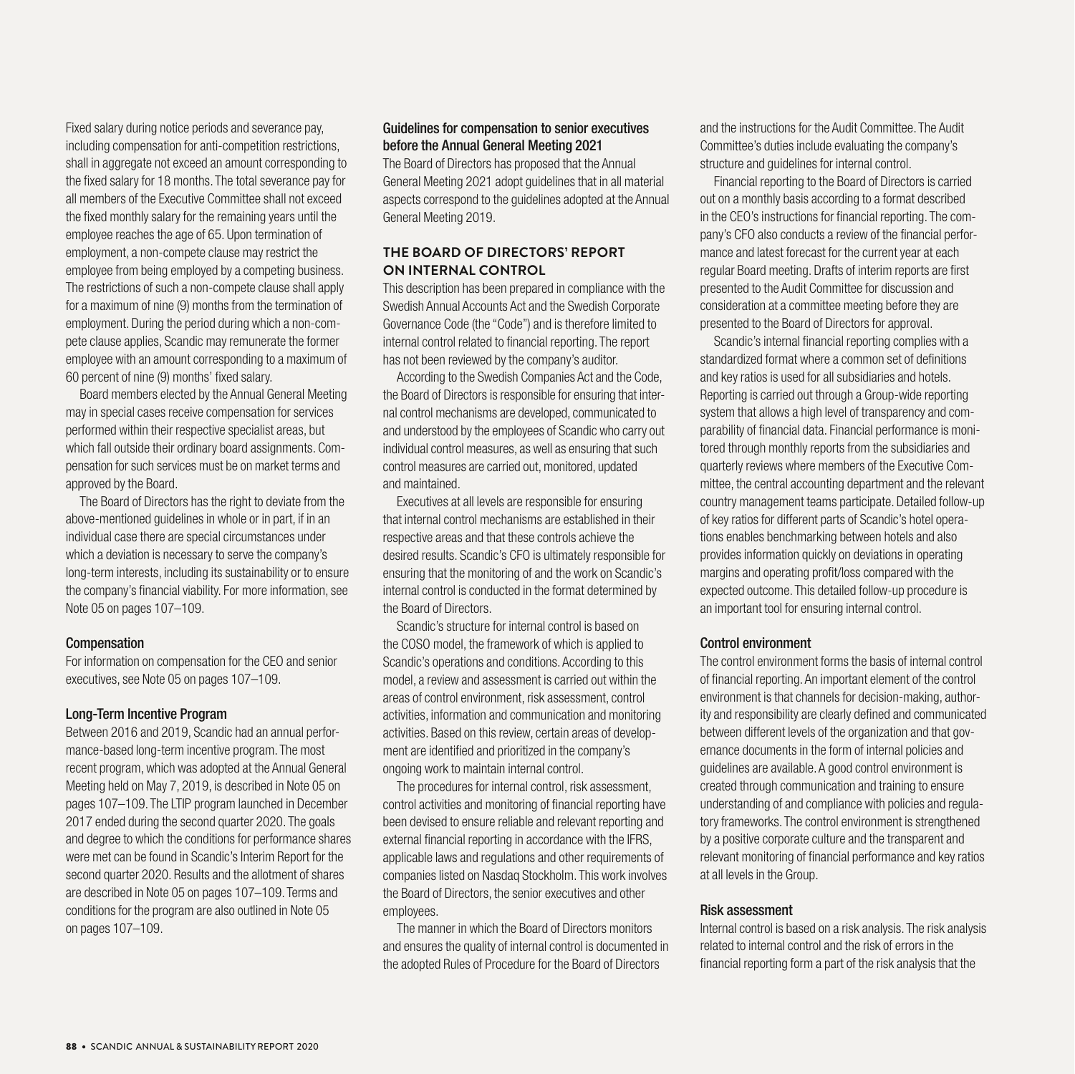Fixed salary during notice periods and severance pay, including compensation for anti-competition restrictions, shall in aggregate not exceed an amount corresponding to the fixed salary for 18 months. The total severance pay for all members of the Executive Committee shall not exceed the fixed monthly salary for the remaining years until the employee reaches the age of 65. Upon termination of employment, a non-compete clause may restrict the employee from being employed by a competing business. The restrictions of such a non-compete clause shall apply for a maximum of nine (9) months from the termination of employment. During the period during which a non-compete clause applies, Scandic may remunerate the former employee with an amount corresponding to a maximum of 60 percent of nine (9) months' fixed salary.

Board members elected by the Annual General Meeting may in special cases receive compensation for services performed within their respective specialist areas, but which fall outside their ordinary board assignments. Compensation for such services must be on market terms and approved by the Board.

The Board of Directors has the right to deviate from the above-mentioned guidelines in whole or in part, if in an individual case there are special circumstances under which a deviation is necessary to serve the company's long-term interests, including its sustainability or to ensure the company's financial viability. For more information, see Note 05 on pages 107–109.

#### Compensation

For information on compensation for the CEO and senior executives, see Note 05 on pages 107–109.

#### Long-Term Incentive Program

Between 2016 and 2019, Scandic had an annual performance-based long-term incentive program. The most recent program, which was adopted at the Annual General Meeting held on May 7, 2019, is described in Note 05 on pages 107–109. The LTIP program launched in December 2017 ended during the second quarter 2020. The goals and degree to which the conditions for performance shares were met can be found in Scandic's Interim Report for the second quarter 2020. Results and the allotment of shares are described in Note 05 on pages 107–109. Terms and conditions for the program are also outlined in Note 05 on pages 107–109.

#### Guidelines for compensation to senior executives before the Annual General Meeting 2021

The Board of Directors has proposed that the Annual General Meeting 2021 adopt guidelines that in all material aspects correspond to the guidelines adopted at the Annual General Meeting 2019.

# **THE BOARD OF DIRECTORS' REPORT ON INTERNAL CONTROL**

This description has been prepared in compliance with the Swedish Annual Accounts Act and the Swedish Corporate Governance Code (the "Code") and is therefore limited to internal control related to financial reporting. The report has not been reviewed by the company's auditor.

According to the Swedish Companies Act and the Code, the Board of Directors is responsible for ensuring that internal control mechanisms are developed, communicated to and understood by the employees of Scandic who carry out individual control measures, as well as ensuring that such control measures are carried out, monitored, updated and maintained.

Executives at all levels are responsible for ensuring that internal control mechanisms are established in their respective areas and that these controls achieve the desired results. Scandic's CFO is ultimately responsible for ensuring that the monitoring of and the work on Scandic's internal control is conducted in the format determined by the Board of Directors.

Scandic's structure for internal control is based on the COSO model, the framework of which is applied to Scandic's operations and conditions. According to this model, a review and assessment is carried out within the areas of control environment, risk assessment, control activities, information and communication and monitoring activities. Based on this review, certain areas of development are identified and prioritized in the company's ongoing work to maintain internal control.

The procedures for internal control, risk assessment, control activities and monitoring of financial reporting have been devised to ensure reliable and relevant reporting and external financial reporting in accordance with the IFRS, applicable laws and regulations and other requirements of companies listed on Nasdaq Stockholm. This work involves the Board of Directors, the senior executives and other employees.

The manner in which the Board of Directors monitors and ensures the quality of internal control is documented in the adopted Rules of Procedure for the Board of Directors

and the instructions for the Audit Committee. The Audit Committee's duties include evaluating the company's structure and guidelines for internal control.

Financial reporting to the Board of Directors is carried out on a monthly basis according to a format described in the CEO's instructions for financial reporting. The company's CFO also conducts a review of the financial performance and latest forecast for the current year at each regular Board meeting. Drafts of interim reports are first presented to the Audit Committee for discussion and consideration at a committee meeting before they are presented to the Board of Directors for approval.

Scandic's internal financial reporting complies with a standardized format where a common set of definitions and key ratios is used for all subsidiaries and hotels. Reporting is carried out through a Group-wide reporting system that allows a high level of transparency and comparability of financial data. Financial performance is monitored through monthly reports from the subsidiaries and quarterly reviews where members of the Executive Committee, the central accounting department and the relevant country management teams participate. Detailed follow-up of key ratios for different parts of Scandic's hotel operations enables benchmarking between hotels and also provides information quickly on deviations in operating margins and operating profit/loss compared with the expected outcome. This detailed follow-up procedure is an important tool for ensuring internal control.

#### Control environment

The control environment forms the basis of internal control of financial reporting. An important element of the control environment is that channels for decision-making, authority and responsibility are clearly defined and communicated between different levels of the organization and that governance documents in the form of internal policies and guidelines are available. A good control environment is created through communication and training to ensure understanding of and compliance with policies and regulatory frameworks. The control environment is strengthened by a positive corporate culture and the transparent and relevant monitoring of financial performance and key ratios at all levels in the Group.

#### Risk assessment

Internal control is based on a risk analysis. The risk analysis related to internal control and the risk of errors in the financial reporting form a part of the risk analysis that the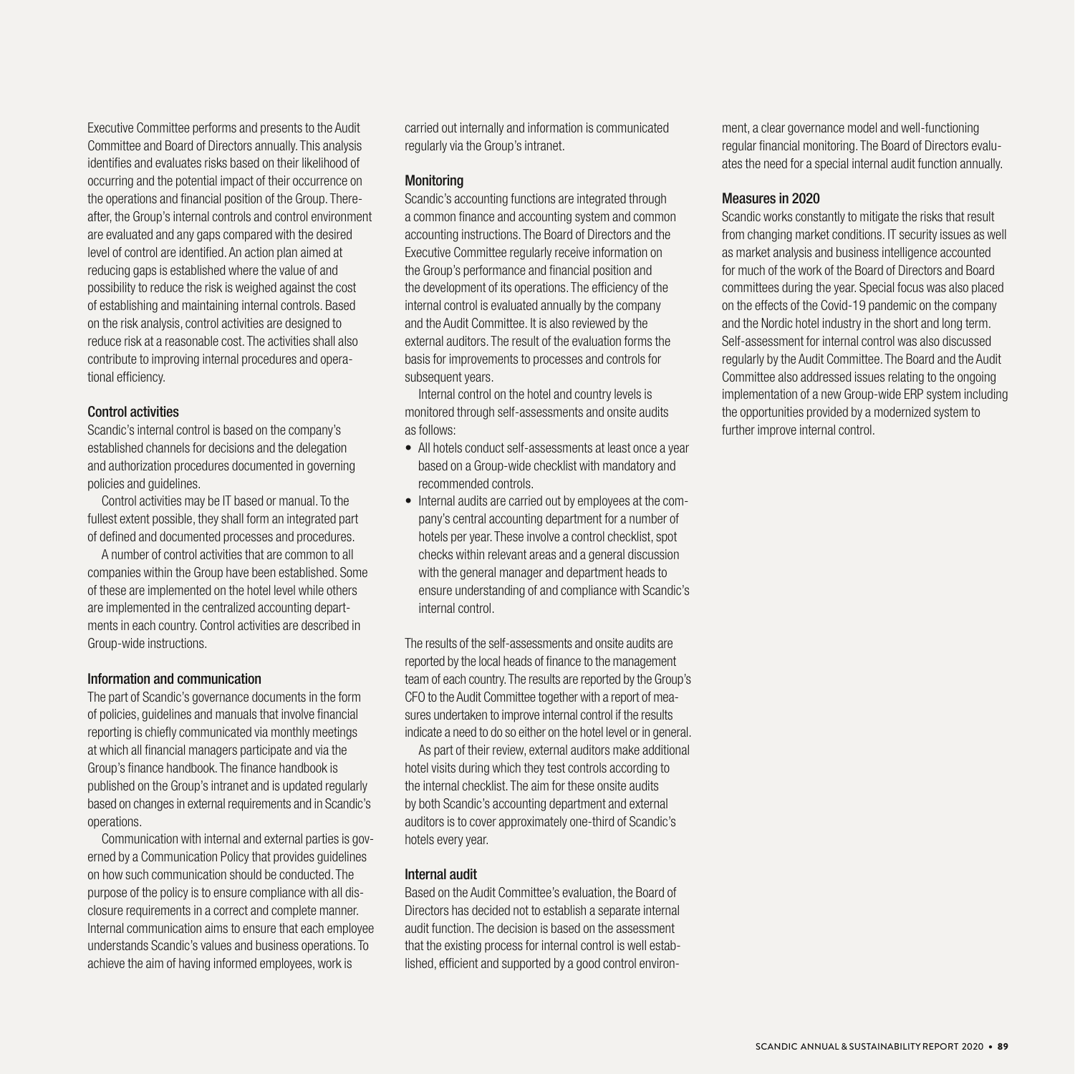Executive Committee performs and presents to the Audit Committee and Board of Directors annually. This analysis identifies and evaluates risks based on their likelihood of occurring and the potential impact of their occurrence on the operations and financial position of the Group. Thereafter, the Group's internal controls and control environment are evaluated and any gaps compared with the desired level of control are identified. An action plan aimed at reducing gaps is established where the value of and possibility to reduce the risk is weighed against the cost of establishing and maintaining internal controls. Based on the risk analysis, control activities are designed to reduce risk at a reasonable cost. The activities shall also contribute to improving internal procedures and operational efficiency.

#### Control activities

Scandic's internal control is based on the company's established channels for decisions and the delegation and authorization procedures documented in governing policies and guidelines.

Control activities may be IT based or manual. To the fullest extent possible, they shall form an integrated part of defined and documented processes and procedures.

A number of control activities that are common to all companies within the Group have been established. Some of these are implemented on the hotel level while others are implemented in the centralized accounting departments in each country. Control activities are described in Group-wide instructions.

#### Information and communication

The part of Scandic's governance documents in the form of policies, guidelines and manuals that involve financial reporting is chiefly communicated via monthly meetings at which all financial managers participate and via the Group's finance handbook. The finance handbook is published on the Group's intranet and is updated regularly based on changes in external requirements and in Scandic's operations.

Communication with internal and external parties is governed by a Communication Policy that provides guidelines on how such communication should be conducted. The purpose of the policy is to ensure compliance with all disclosure requirements in a correct and complete manner. Internal communication aims to ensure that each employee understands Scandic's values and business operations. To achieve the aim of having informed employees, work is

carried out internally and information is communicated regularly via the Group's intranet.

#### **Monitoring**

Scandic's accounting functions are integrated through a common finance and accounting system and common accounting instructions. The Board of Directors and the Executive Committee regularly receive information on the Group's performance and financial position and the development of its operations. The efficiency of the internal control is evaluated annually by the company and the Audit Committee. It is also reviewed by the external auditors. The result of the evaluation forms the basis for improvements to processes and controls for subsequent years.

Internal control on the hotel and country levels is monitored through self-assessments and onsite audits as follows:

- All hotels conduct self-assessments at least once a year based on a Group-wide checklist with mandatory and recommended controls.
- Internal audits are carried out by employees at the company's central accounting department for a number of hotels per year. These involve a control checklist, spot checks within relevant areas and a general discussion with the general manager and department heads to ensure understanding of and compliance with Scandic's internal control.

The results of the self-assessments and onsite audits are reported by the local heads of finance to the management team of each country. The results are reported by the Group's CFO to the Audit Committee together with a report of measures undertaken to improve internal control if the results indicate a need to do so either on the hotel level or in general.

As part of their review, external auditors make additional hotel visits during which they test controls according to the internal checklist. The aim for these onsite audits by both Scandic's accounting department and external auditors is to cover approximately one-third of Scandic's hotels every year.

# Internal audit

Based on the Audit Committee's evaluation, the Board of Directors has decided not to establish a separate internal audit function. The decision is based on the assessment that the existing process for internal control is well established, efficient and supported by a good control environment, a clear governance model and well-functioning regular financial monitoring. The Board of Directors evaluates the need for a special internal audit function annually.

# Measures in 2020

Scandic works constantly to mitigate the risks that result from changing market conditions. IT security issues as well as market analysis and business intelligence accounted for much of the work of the Board of Directors and Board committees during the year. Special focus was also placed on the effects of the Covid-19 pandemic on the company and the Nordic hotel industry in the short and long term. Self-assessment for internal control was also discussed regularly by the Audit Committee. The Board and the Audit Committee also addressed issues relating to the ongoing implementation of a new Group-wide ERP system including the opportunities provided by a modernized system to further improve internal control.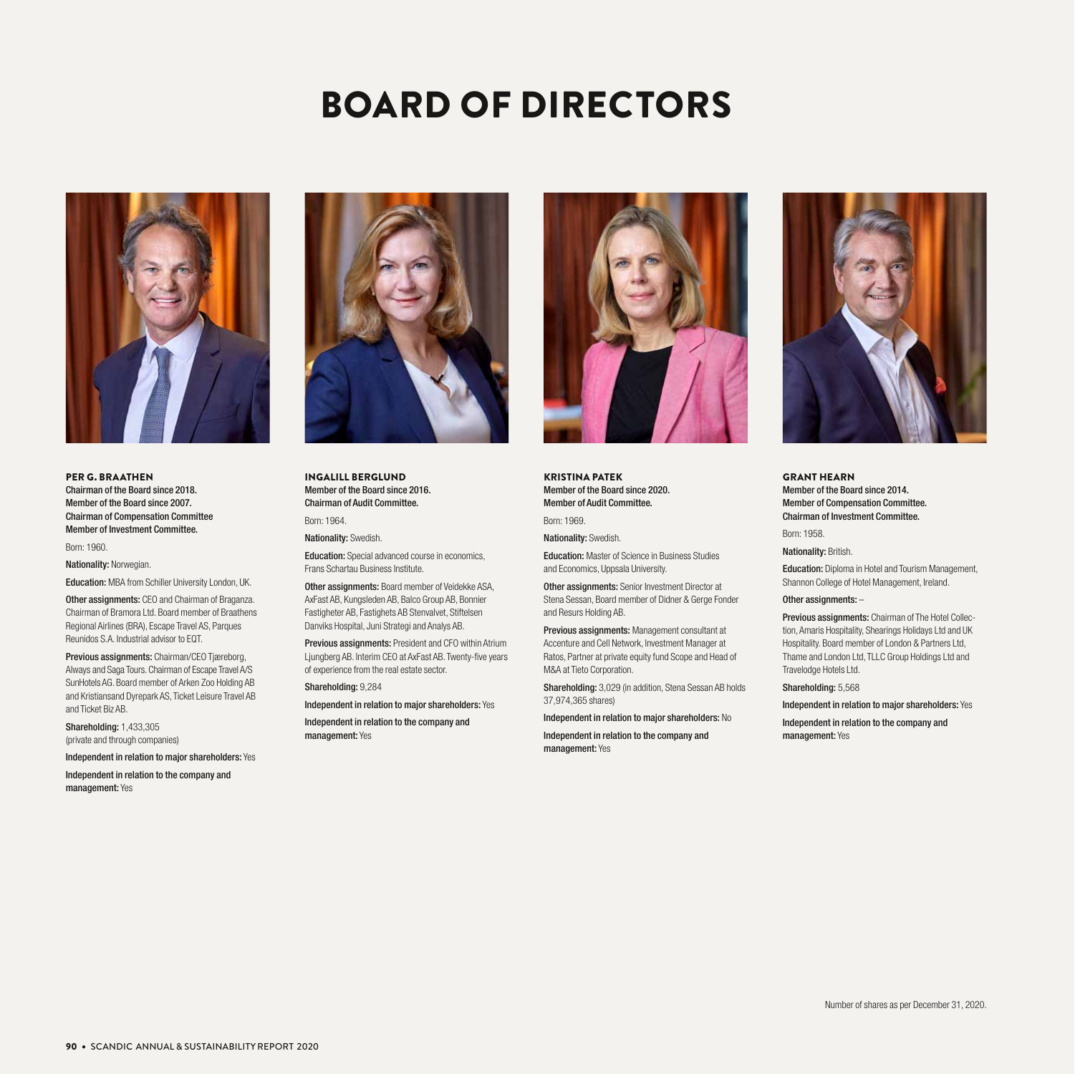# BOARD OF DIRECTORS



PER G. BRAATHEN Chairman of the Board since 2018. Member of the Board since 2007. Chairman of Compensation Committee Member of Investment Committee.

Born: 1960.

Nationality: Norwegian.

Education: MBA from Schiller University London, UK.

**Other assignments: CEO and Chairman of Braganza.** Chairman of Bramora Ltd. Board member of Braathens Regional Airlines (BRA), Escape Travel AS, Parques Reunidos S.A. Industrial advisor to EQT.

Previous assignments: Chairman/CEO Tiæreborg, Always and Saga Tours. Chairman of Escape Travel A/S SunHotels AG. Board member of Arken Zoo Holding AB and Kristiansand Dyrepark AS, Ticket Leisure Travel AB and Ticket Biz AB.

Shareholding: 1,433,305 (private and through companies)

Independent in relation to major shareholders: Yes

Independent in relation to the company and management: Yes



INGALILL BERGLUND Member of the Board since 2016. Chairman of Audit Committee.

Born: 1964.

Nationality: Swedish.

Education: Special advanced course in economics, Frans Schartau Business Institute.

Other assignments: Board member of Veidekke ASA, AxFast AB, Kungsleden AB, Balco Group AB, Bonnier Fastigheter AB, Fastighets AB Stenvalvet, Stiftelsen Danviks Hospital, Juni Strategi and Analys AB.

Previous assignments: President and CFO within Atrium Ljungberg AB. Interim CEO at AxFast AB. Twenty-five years of experience from the real estate sector.

Shareholding: 9,284

Independent in relation to major shareholders: Yes

Independent in relation to the company and management: Yes



KRISTINA PATEK Member of the Board since 2020. Member of Audit Committee.

Born: 1969.

Nationality: Swedish.

Education: Master of Science in Business Studies and Economics, Uppsala University.

Other assignments: Senior Investment Director at Stena Sessan, Board member of Didner & Gerge Fonder and Resurs Holding AB.

Previous assignments: Management consultant at Accenture and Cell Network, Investment Manager at Ratos, Partner at private equity fund Scope and Head of M&A at Tieto Corporation.

Shareholding: 3,029 (in addition, Stena Sessan AB holds 37,974,365 shares)

Independent in relation to major shareholders: No

Independent in relation to the company and

management: Yes



GRANT HEARN Member of the Board since 2014. Member of Compensation Committee. Chairman of Investment Committee.

Born: 1958.

Nationality: British.

Education: Diploma in Hotel and Tourism Management, Shannon College of Hotel Management, Ireland.

#### Other assignments: -

Previous assignments: Chairman of The Hotel Collection, Amaris Hospitality, Shearings Holidays Ltd and UK Hospitality. Board member of London & Partners Ltd, Thame and London Ltd, TLLC Group Holdings Ltd and Travelodge Hotels Ltd.

Shareholding: 5,568

Independent in relation to major shareholders: Yes

Independent in relation to the company and management: Yes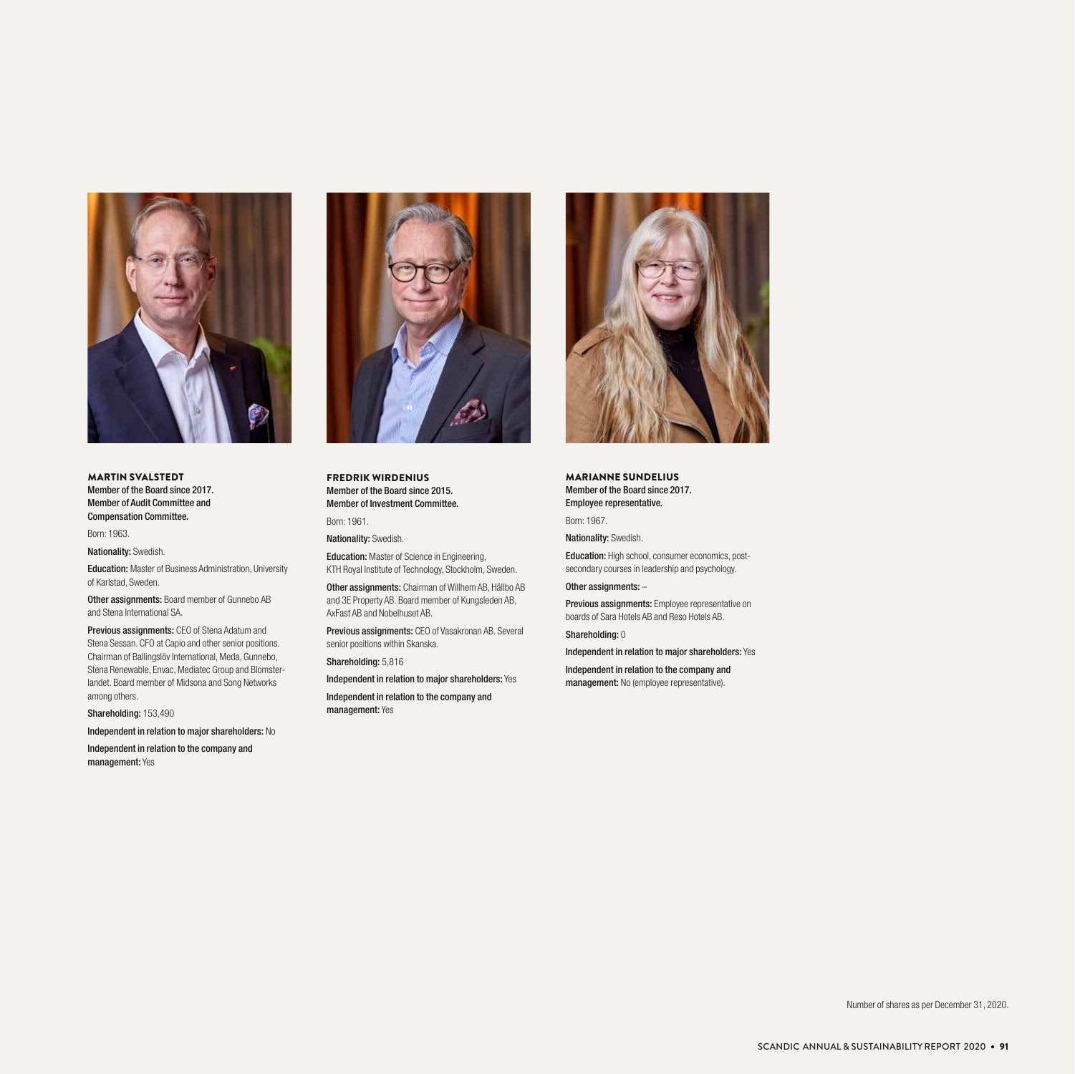

MARTIN SVALSTEDT Member of the Board since 2017. Member of Audit Committee and Compensation Committee.

Born: 1963.

Nationality: Swedish.

Education: Master of Business Administration, University of Karlstad, Sweden.

Other assignments: Board member of Gunnebo AB and Stena International SA.

Previous assignments: CEO of Stena Adatum and Stena Sessan. CFO at Capio and other senior positions. Chairman of Ballingslöv International, Meda, Gunnebo, Stena Renewable, Envac, Mediatec Group and Blomsterlandet. Board member of Midsona and Song Networks among others.

Shareholding: 153,490

Independent in relation to major shareholders: No

Independent in relation to the company and management: Yes



FREDRIK WIRDENIUS Member of the Board since 2015. Member of Investment Committee.

Born: 1961.

Nationality: Swedish.

Education: Master of Science in Engineering, KTH Royal Institute of Technology, Stockholm, Sweden.

Other assignments: Chairman of Willhem AB, Hållbo AB and 3E Property AB. Board member of Kungsleden AB, AxFast AB and Nobelhuset AB.

Previous assignments: CEO of Vasakronan AB. Several senior positions within Skanska.

Shareholding: 5,816

Independent in relation to major shareholders: Yes

Independent in relation to the company and management: Yes



MARIANNE SUNDELIUS Member of the Board since 2017. Employee representative.

Born: 1967.

Nationality: Swedish.

Education: High school, consumer economics, postsecondary courses in leadership and psychology.

#### Other assignments: –

Previous assignments: Employee representative on boards of Sara Hotels AB and Reso Hotels AB.

Shareholding: 0

Independent in relation to major shareholders: Yes

Independent in relation to the company and management: No (employee representative).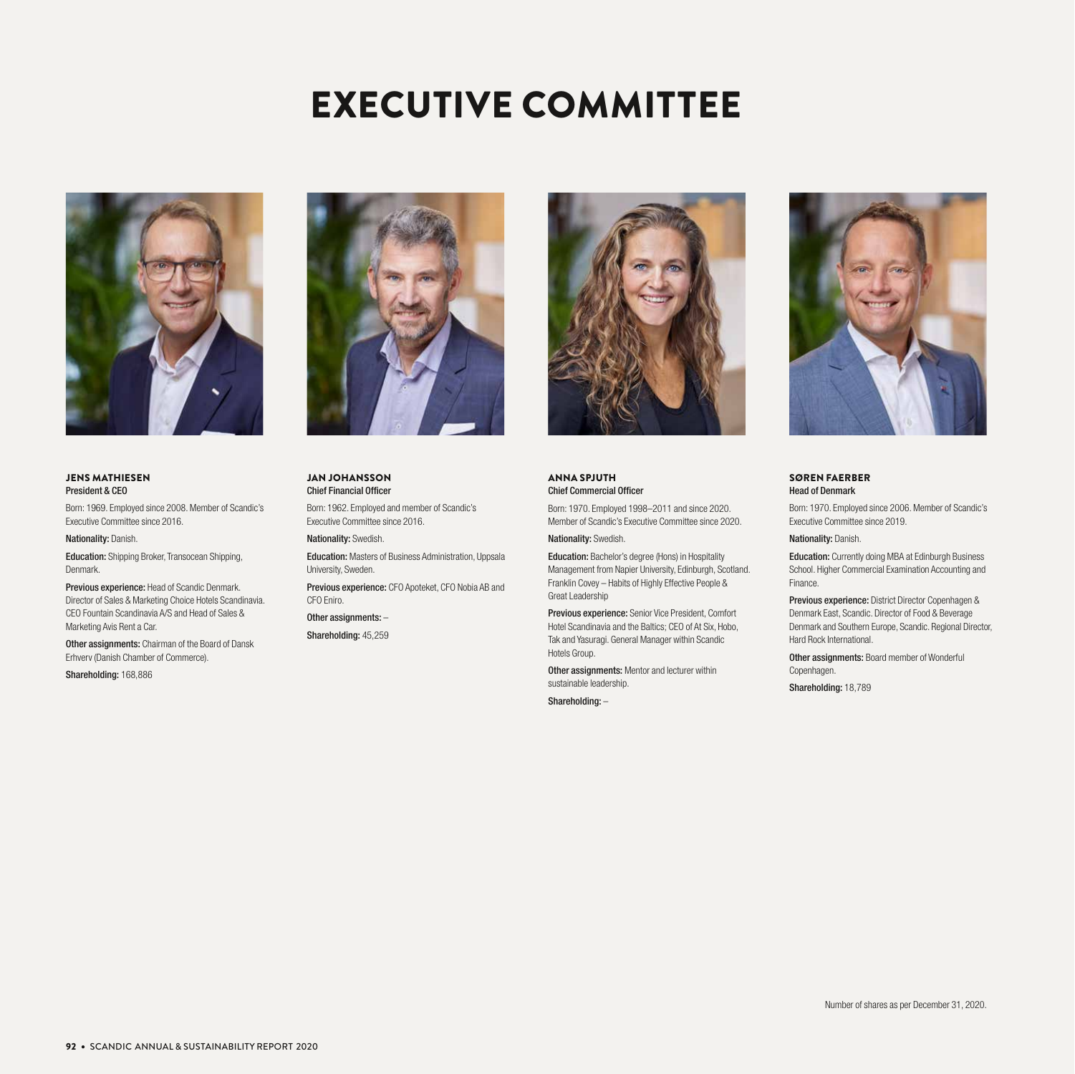# EXECUTIVE COMMITTEE



#### JENS MATHIESEN President & CEO

Born: 1969. Employed since 2008. Member of Scandic's Executive Committee since 2016.

#### Nationality: Danish.

Education: Shipping Broker, Transocean Shipping, Denmark.

Previous experience: Head of Scandic Denmark. Director of Sales & Marketing Choice Hotels Scandinavia. CEO Fountain Scandinavia A/S and Head of Sales & Marketing Avis Rent a Car.

Other assignments: Chairman of the Board of Dansk Erhverv (Danish Chamber of Commerce).

Shareholding: 168,886



JAN JOHANSSON Chief Financial Officer

Born: 1962. Employed and member of Scandic's Executive Committee since 2016.

Nationality: Swedish.

Education: Masters of Business Administration, Uppsala University, Sweden.

Previous experience: CFO Apoteket, CFO Nobia AB and CFO Eniro.

Other assignments: –

Shareholding: 45,259



ANNA SPJUTH Chief Commercial Officer

Born: 1970. Employed 1998–2011 and since 2020. Member of Scandic's Executive Committee since 2020.

Nationality: Swedish.

Education: Bachelor's degree (Hons) in Hospitality Management from Napier University, Edinburgh, Scotland. Franklin Covey – Habits of Highly Effective People & Great Leadership

Previous experience: Senior Vice President, Comfort Hotel Scandinavia and the Baltics; CEO of At Six, Hobo, Tak and Yasuragi. General Manager within Scandic Hotels Group.

Other assignments: Mentor and lecturer within sustainable leadership.

Shareholding: –



#### SØREN FAERBER Head of Denmark

Born: 1970. Employed since 2006. Member of Scandic's Executive Committee since 2019.

Nationality: Danish.

Education: Currently doing MBA at Edinburgh Business School. Higher Commercial Examination Accounting and Finance.

Previous experience: District Director Copenhagen & Denmark East, Scandic. Director of Food & Beverage Denmark and Southern Europe, Scandic. Regional Director, Hard Rock International.

Other assignments: Board member of Wonderful Copenhagen.

Shareholding: 18,789